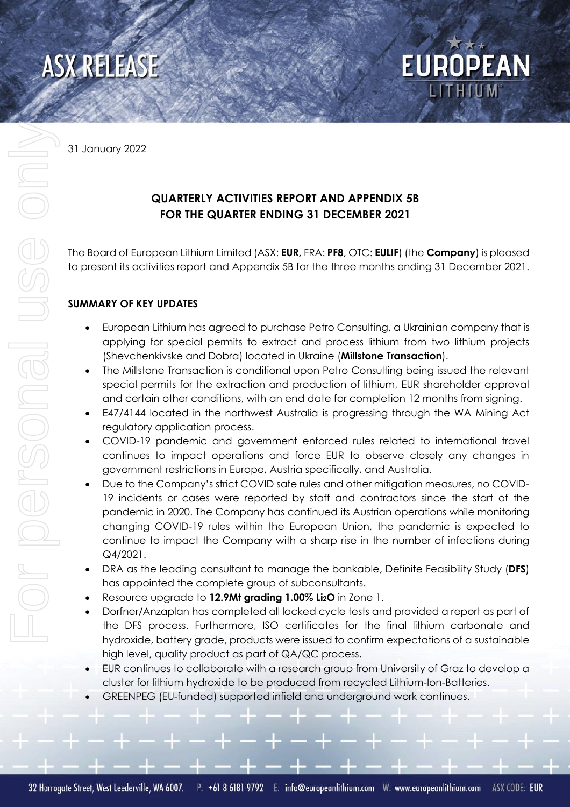

31 January 2022

# **QUARTERLY ACTIVITIES REPORT AND APPENDIX 5B FOR THE QUARTER ENDING 31 DECEMBER 2021**

The Board of European Lithium Limited (ASX: **EUR,** FRA: **PF8**, OTC: **EULIF**) (the **Company**) is pleased to present its activities report and Appendix 5B for the three months ending 31 December 2021.

**EUROPEAN** 

## **SUMMARY OF KEY UPDATES**

- European Lithium has agreed to purchase Petro Consulting, a Ukrainian company that is applying for special permits to extract and process lithium from two lithium projects (Shevchenkivske and Dobra) located in Ukraine (**Millstone Transaction**).
- The Millstone Transaction is conditional upon Petro Consulting being issued the relevant special permits for the extraction and production of lithium, EUR shareholder approval and certain other conditions, with an end date for completion 12 months from signing.
- E47/4144 located in the northwest Australia is progressing through the WA Mining Act regulatory application process.
- COVID-19 pandemic and government enforced rules related to international travel continues to impact operations and force EUR to observe closely any changes in government restrictions in Europe, Austria specifically, and Australia.
- Due to the Company's strict COVID safe rules and other mitigation measures, no COVID-19 incidents or cases were reported by staff and contractors since the start of the pandemic in 2020. The Company has continued its Austrian operations while monitoring changing COVID-19 rules within the European Union, the pandemic is expected to continue to impact the Company with a sharp rise in the number of infections during Q4/2021.
- DRA as the leading consultant to manage the bankable, Definite Feasibility Study (**DFS**) has appointed the complete group of subconsultants.
- Resource upgrade to **12.9Mt grading 1.00% Li2O** in Zone 1.
- Dorfner/Anzaplan has completed all locked cycle tests and provided a report as part of the DFS process. Furthermore, ISO certificates for the final lithium carbonate and hydroxide, battery grade, products were issued to confirm expectations of a sustainable high level, quality product as part of QA/QC process.
- EUR continues to collaborate with a research group from University of Graz to develop a cluster for lithium hydroxide to be produced from recycled Lithium-Ion-Batteries.
- GREENPEG (EU-funded) supported infield and underground work continues.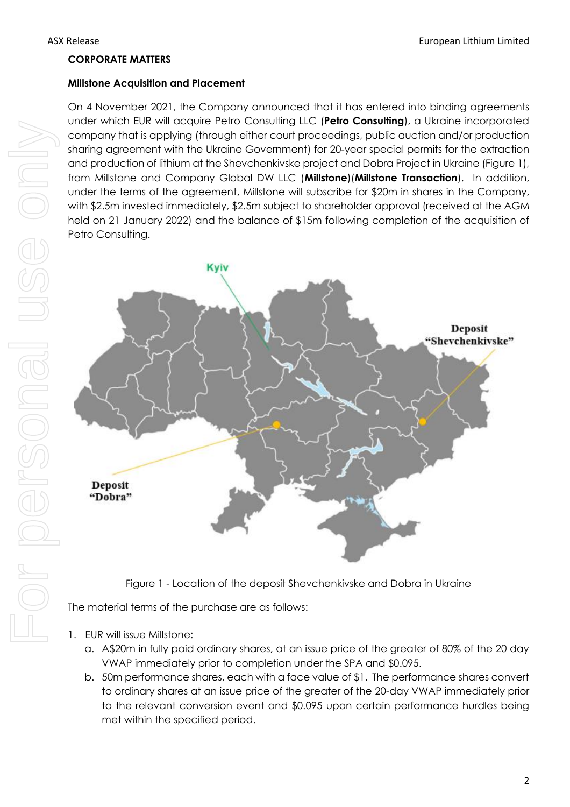#### **CORPORATE MATTERS**

#### **Millstone Acquisition and Placement**

On 4 November 2021, the Company announced that it has entered into binding agreements under which EUR will acquire Petro Consulting LLC (**Petro Consulting**), a Ukraine incorporated company that is applying (through either court proceedings, public auction and/or production sharing agreement with the Ukraine Government) for 20-year special permits for the extraction and production of lithium at the Shevchenkivske project and Dobra Project in Ukraine (Figure 1), from Millstone and Company Global DW LLC (**Millstone**)(**Millstone Transaction**). In addition, under the terms of the agreement, Millstone will subscribe for \$20m in shares in the Company, with \$2.5m invested immediately, \$2.5m subject to shareholder approval (received at the AGM held on 21 January 2022) and the balance of \$15m following completion of the acquisition of Petro Consulting.



Figure 1 - Location of the deposit Shevchenkivske and Dobra in Ukraine

The material terms of the purchase are as follows:

- 1. EUR will issue Millstone:
	- a. A\$20m in fully paid ordinary shares, at an issue price of the greater of 80% of the 20 day VWAP immediately prior to completion under the SPA and \$0.095.
	- b. 50m performance shares, each with a face value of \$1. The performance shares convert to ordinary shares at an issue price of the greater of the 20-day VWAP immediately prior to the relevant conversion event and \$0.095 upon certain performance hurdles being met within the specified period.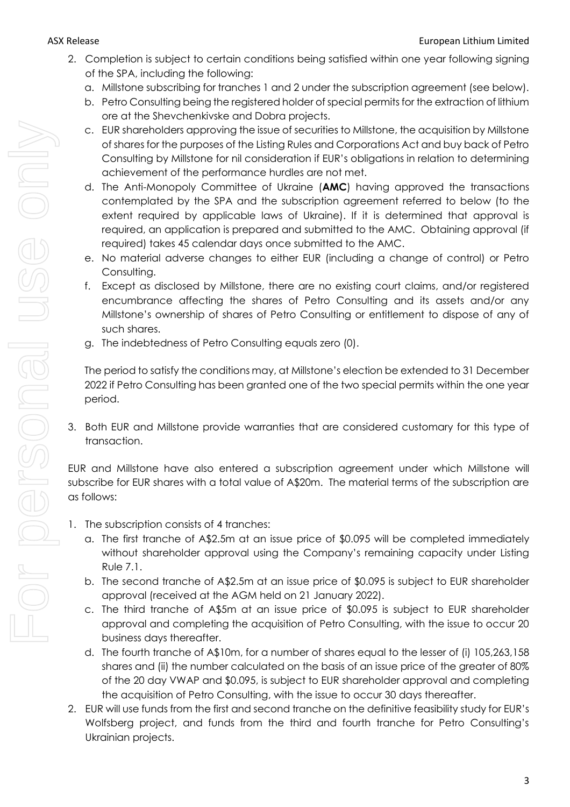- 2. Completion is subject to certain conditions being satisfied within one year following signing of the SPA, including the following:
	- a. Millstone subscribing for tranches 1 and 2 under the subscription agreement (see below).
	- b. Petro Consulting being the registered holder of special permits for the extraction of lithium ore at the Shevchenkivske and Dobra projects.
	- c. EUR shareholders approving the issue of securities to Millstone, the acquisition by Millstone of shares for the purposes of the Listing Rules and Corporations Act and buy back of Petro Consulting by Millstone for nil consideration if EUR's obligations in relation to determining achievement of the performance hurdles are not met.
	- d. The Anti-Monopoly Committee of Ukraine (**AMC**) having approved the transactions contemplated by the SPA and the subscription agreement referred to below (to the extent required by applicable laws of Ukraine). If it is determined that approval is required, an application is prepared and submitted to the AMC. Obtaining approval (if required) takes 45 calendar days once submitted to the AMC.
	- e. No material adverse changes to either EUR (including a change of control) or Petro Consulting.
	- f. Except as disclosed by Millstone, there are no existing court claims, and/or registered encumbrance affecting the shares of Petro Consulting and its assets and/or any Millstone's ownership of shares of Petro Consulting or entitlement to dispose of any of such shares.
	- g. The indebtedness of Petro Consulting equals zero (0).

The period to satisfy the conditions may, at Millstone's election be extended to 31 December 2022 if Petro Consulting has been granted one of the two special permits within the one year period.

3. Both EUR and Millstone provide warranties that are considered customary for this type of transaction.

EUR and Millstone have also entered a subscription agreement under which Millstone will subscribe for EUR shares with a total value of A\$20m. The material terms of the subscription are as follows:

- 1. The subscription consists of 4 tranches:
	- a. The first tranche of A\$2.5m at an issue price of \$0.095 will be completed immediately without shareholder approval using the Company's remaining capacity under Listing Rule 7.1.
	- b. The second tranche of A\$2.5m at an issue price of \$0.095 is subject to EUR shareholder approval (received at the AGM held on 21 January 2022).
	- c. The third tranche of A\$5m at an issue price of \$0.095 is subject to EUR shareholder approval and completing the acquisition of Petro Consulting, with the issue to occur 20 business days thereafter.
	- d. The fourth tranche of A\$10m, for a number of shares equal to the lesser of (i) 105,263,158 shares and (ii) the number calculated on the basis of an issue price of the greater of 80% of the 20 day VWAP and \$0.095, is subject to EUR shareholder approval and completing the acquisition of Petro Consulting, with the issue to occur 30 days thereafter.
- 2. EUR will use funds from the first and second tranche on the definitive feasibility study for EUR's Wolfsberg project, and funds from the third and fourth tranche for Petro Consulting's Ukrainian projects.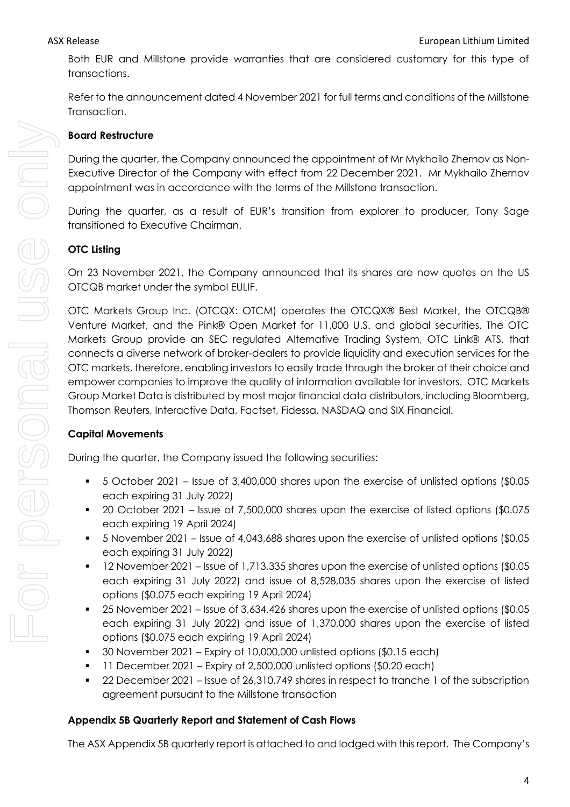Both EUR and Millstone provide warranties that are considered customary for this type of transactions.

Refer to the announcement dated 4 November 2021 for full terms and conditions of the Millstone Transaction.

## **Board Restructure**

During the quarter, the Company announced the appointment of Mr Mykhailo Zhernov as Non-Executive Director of the Company with effect from 22 December 2021. Mr Mykhailo Zhernov appointment was in accordance with the terms of the Millstone transaction.

During the quarter, as a result of EUR's transition from explorer to producer, Tony Sage transitioned to Executive Chairman.

# **OTC Listing**

On 23 November 2021, the Company announced that its shares are now quotes on the US OTCQB market under the symbol EULIF.

OTC Markets Group Inc. (OTCQX: OTCM) operates the OTCQX® Best Market, the OTCQB® Venture Market, and the Pink® Open Market for 11,000 U.S. and global securities. The OTC Markets Group provide an SEC regulated Alternative Trading System, OTC Link® ATS, that connects a diverse network of broker-dealers to provide liquidity and execution services for the OTC markets, therefore, enabling investors to easily trade through the broker of their choice and empower companies to improve the quality of information available for investors. OTC Markets Group Market Data is distributed by most major financial data distributors, including Bloomberg, Thomson Reuters, Interactive Data, Factset, Fidessa, NASDAQ and SIX Financial.

# **Capital Movements**

During the quarter, the Company issued the following securities:

- 5 October 2021 Issue of 3,400,000 shares upon the exercise of unlisted options (\$0.05 each expiring 31 July 2022)
- 20 October 2021 Issue of 7,500,000 shares upon the exercise of listed options (\$0.075 each expiring 19 April 2024)
- 5 November 2021 Issue of 4,043,688 shares upon the exercise of unlisted options (\$0.05 each expiring 31 July 2022)
- 12 November 2021 Issue of 1,713,335 shares upon the exercise of unlisted options (\$0.05) each expiring 31 July 2022) and issue of 8,528,035 shares upon the exercise of listed options (\$0.075 each expiring 19 April 2024)
- 25 November 2021 Issue of 3,634,426 shares upon the exercise of unlisted options (\$0.05 each expiring 31 July 2022) and issue of 1,370,000 shares upon the exercise of listed options (\$0.075 each expiring 19 April 2024)
- 30 November 2021 Expiry of 10,000,000 unlisted options (\$0.15 each)
- 11 December 2021 Expiry of 2,500,000 unlisted options (\$0.20 each)
- 22 December 2021 Issue of 26,310,749 shares in respect to tranche 1 of the subscription agreement pursuant to the Millstone transaction

# **Appendix 5B Quarterly Report and Statement of Cash Flows**

The ASX Appendix 5B quarterly report is attached to and lodged with this report. The Company's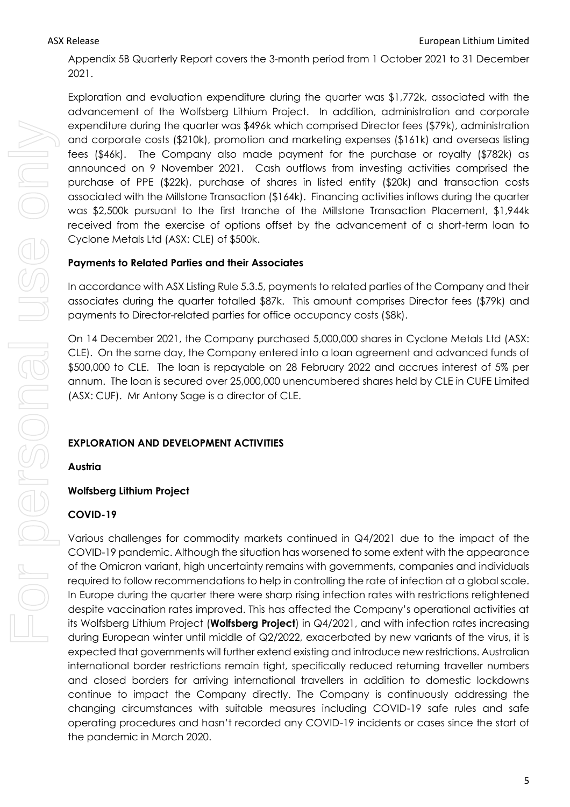Appendix 5B Quarterly Report covers the 3-month period from 1 October 2021 to 31 December 2021.

For personal use only For personal use onn

Exploration and evaluation expenditure during the quarter was \$1,772k, associated with the advancement of the Wolfsberg Lithium Project. In addition, administration and corporate expenditure during the quarter was \$496k which comprised Director fees (\$79k), administration and corporate costs (\$210k), promotion and marketing expenses (\$161k) and overseas listing fees (\$46k). The Company also made payment for the purchase or royalty (\$782k) as announced on 9 November 2021. Cash outflows from investing activities comprised the purchase of PPE (\$22k), purchase of shares in listed entity (\$20k) and transaction costs associated with the Millstone Transaction (\$164k). Financing activities inflows during the quarter was \$2,500k pursuant to the first tranche of the Millstone Transaction Placement, \$1,944k received from the exercise of options offset by the advancement of a short-term loan to Cyclone Metals Ltd (ASX: CLE) of \$500k.

## **Payments to Related Parties and their Associates**

In accordance with ASX Listing Rule 5.3.5, payments to related parties of the Company and their associates during the quarter totalled \$87k. This amount comprises Director fees (\$79k) and payments to Director-related parties for office occupancy costs (\$8k).

On 14 December 2021, the Company purchased 5,000,000 shares in Cyclone Metals Ltd (ASX: CLE). On the same day, the Company entered into a loan agreement and advanced funds of \$500,000 to CLE. The loan is repayable on 28 February 2022 and accrues interest of 5% per annum. The loan is secured over 25,000,000 unencumbered shares held by CLE in CUFE Limited (ASX: CUF). Mr Antony Sage is a director of CLE.

## **EXPLORATION AND DEVELOPMENT ACTIVITIES**

**Austria**

# **Wolfsberg Lithium Project**

## **COVID-19**

Various challenges for commodity markets continued in Q4/2021 due to the impact of the COVID-19 pandemic. Although the situation has worsened to some extent with the appearance of the Omicron variant, high uncertainty remains with governments, companies and individuals required to follow recommendations to help in controlling the rate of infection at a global scale. In Europe during the quarter there were sharp rising infection rates with restrictions retightened despite vaccination rates improved. This has affected the Company's operational activities at its Wolfsberg Lithium Project (**Wolfsberg Project**) in Q4/2021, and with infection rates increasing during European winter until middle of Q2/2022, exacerbated by new variants of the virus, it is expected that governments will further extend existing and introduce new restrictions. Australian international border restrictions remain tight, specifically reduced returning traveller numbers and closed borders for arriving international travellers in addition to domestic lockdowns continue to impact the Company directly. The Company is continuously addressing the changing circumstances with suitable measures including COVID-19 safe rules and safe operating procedures and hasn't recorded any COVID-19 incidents or cases since the start of the pandemic in March 2020.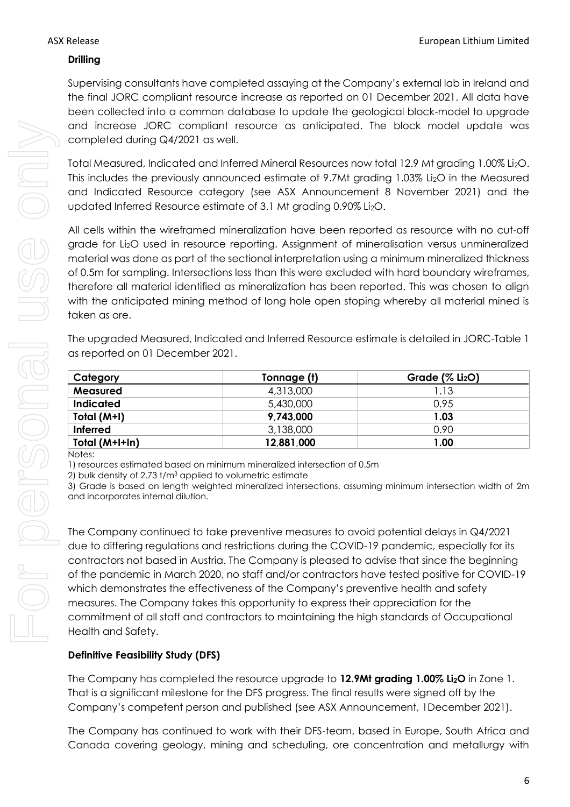## **Drilling**

Supervising consultants have completed assaying at the Company's external lab in Ireland and the final JORC compliant resource increase as reported on 01 December 2021. All data have been collected into a common database to update the geological block-model to upgrade and increase JORC compliant resource as anticipated. The block model update was completed during Q4/2021 as well.

Total Measured, Indicated and Inferred Mineral Resources now total 12.9 Mt grading 1.00% Li2O. This includes the previously announced estimate of 9.7Mt grading 1.03% Li2O in the Measured and Indicated Resource category (see ASX Announcement 8 November 2021) and the updated Inferred Resource estimate of 3.1 Mt grading 0.90% Li2O.

All cells within the wireframed mineralization have been reported as resource with no cut-off grade for Li2O used in resource reporting. Assignment of mineralisation versus unmineralized material was done as part of the sectional interpretation using a minimum mineralized thickness of 0.5m for sampling. Intersections less than this were excluded with hard boundary wireframes, therefore all material identified as mineralization has been reported. This was chosen to align with the anticipated mining method of long hole open stoping whereby all material mined is taken as ore.

The upgraded Measured, Indicated and Inferred Resource estimate is detailed in JORC-Table 1 as reported on 01 December 2021.

| Category         | Tonnage (t) | Grade $(\%$ Li <sub>2</sub> O) |
|------------------|-------------|--------------------------------|
| <b>Measured</b>  | 4,313,000   | 1.13                           |
| <b>Indicated</b> | 5,430,000   | 0.95                           |
| Total (M+I)      | 9,743,000   | 1.03                           |
| <b>Inferred</b>  | 3,138,000   | 0.90                           |
| Total (M+I+In)   | 12,881,000  | 1.00                           |

Notes:

1) resources estimated based on minimum mineralized intersection of 0.5m

2) bulk density of 2.73 t/m<sup>3</sup> applied to volumetric estimate

3) Grade is based on length weighted mineralized intersections, assuming minimum intersection width of 2m and incorporates internal dilution.

The Company continued to take preventive measures to avoid potential delays in Q4/2021 due to differing regulations and restrictions during the COVID-19 pandemic, especially for its contractors not based in Austria. The Company is pleased to advise that since the beginning of the pandemic in March 2020, no staff and/or contractors have tested positive for COVID-19 which demonstrates the effectiveness of the Company's preventive health and safety measures. The Company takes this opportunity to express their appreciation for the commitment of all staff and contractors to maintaining the high standards of Occupational Health and Safety.

## **Definitive Feasibility Study (DFS)**

The Company has completed the resource upgrade to **12.9Mt grading 1.00% Li2O** in Zone 1. That is a significant milestone for the DFS progress. The final results were signed off by the Company's competent person and published (see ASX Announcement, 1December 2021).

The Company has continued to work with their DFS-team, based in Europe, South Africa and Canada covering geology, mining and scheduling, ore concentration and metallurgy with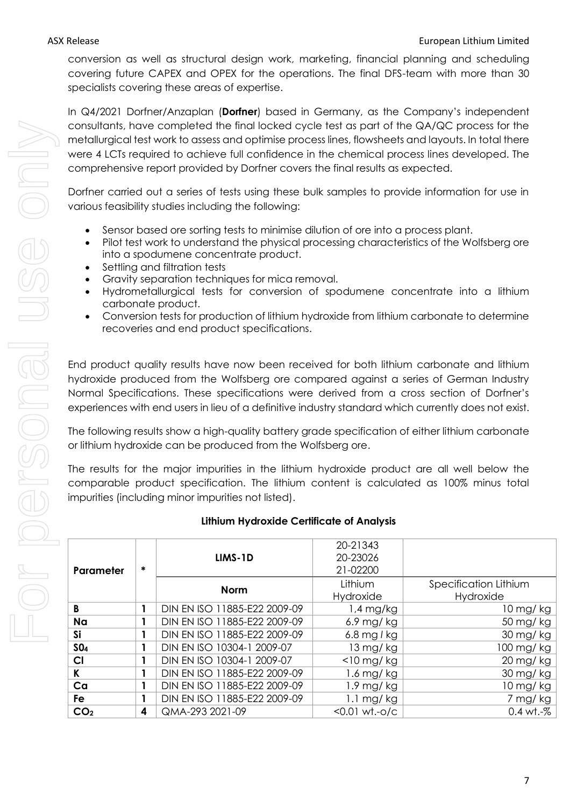conversion as well as structural design work, marketing, financial planning and scheduling covering future CAPEX and OPEX for the operations. The final DFS-team with more than 30 specialists covering these areas of expertise.

In Q4/2021 Dorfner/Anzaplan (**Dorfner**) based in Germany, as the Company's independent consultants, have completed the final locked cycle test as part of the QA/QC process for the metallurgical test work to assess and optimise process lines, flowsheets and layouts. In total there were 4 LCTs required to achieve full confidence in the chemical process lines developed. The comprehensive report provided by Dorfner covers the final results as expected.

Dorfner carried out a series of tests using these bulk samples to provide information for use in various feasibility studies including the following:

- Sensor based ore sorting tests to minimise dilution of ore into a process plant.
- Pilot test work to understand the physical processing characteristics of the Wolfsberg ore into a spodumene concentrate product.
- Settling and filtration tests
- Gravity separation techniques for mica removal.
- Hydrometallurgical tests for conversion of spodumene concentrate into a lithium carbonate product.
- Conversion tests for production of lithium hydroxide from lithium carbonate to determine recoveries and end product specifications.

End product quality results have now been received for both lithium carbonate and lithium hydroxide produced from the Wolfsberg ore compared against a series of German Industry Normal Specifications. These specifications were derived from a cross section of Dorfner's experiences with end users in lieu of a definitive industry standard which currently does not exist.

The following results show a high-quality battery grade specification of either lithium carbonate or lithium hydroxide can be produced from the Wolfsberg ore.

The results for the major impurities in the lithium hydroxide product are all well below the comparable product specification. The lithium content is calculated as 100% minus total impurities (including minor impurities not listed).

|                 |   |                              | 20 2 I V I V            |                       |
|-----------------|---|------------------------------|-------------------------|-----------------------|
|                 |   | LIMS-1D                      | 20-23026                |                       |
| Parameter       | ∗ |                              | 21-02200                |                       |
|                 |   | <b>Norm</b>                  | Lithium                 | Specification Lithium |
|                 |   |                              | Hydroxide               | Hydroxide             |
| B               |   | DIN EN ISO 11885-E22 2009-09 | 1,4 mg/kg               | $10$ mg/kg            |
| Na              |   | DIN EN ISO 11885-E22 2009-09 | $6.9$ mg/kg             | 50 mg/ kg             |
| Si              |   | DIN EN ISO 11885-E22 2009-09 | 6.8 mg $l$ kg           | 30 mg/kg              |
| SO <sub>4</sub> |   | DIN EN ISO 10304-1 2009-07   | $13 \,\mathrm{mg}$ / kg | 100 mg/kg             |
| CI              |   | DIN EN ISO 10304-1 2009-07   | $<$ 10 mg/ $kg$         | 20 mg/kg              |
| K               |   | DIN EN ISO 11885-E22 2009-09 | 1.6 mg/ kg              | 30 mg/kg              |
| Ca              |   | DIN EN ISO 11885-E22 2009-09 | 1.9 mg/ kg              | $10$ mg/kg            |
| Fe              |   | DIN EN ISO 11885-E22 2009-09 | $1.1 \text{ mg/kg}$     | 7 mg/kg               |
| CO <sub>2</sub> | 4 | QMA-293 2021-09              | $< 0.01 wt. -o/c$       | $0.4$ wt.- $%$        |

20-21343

# **Lithium Hydroxide Certificate of Analysis**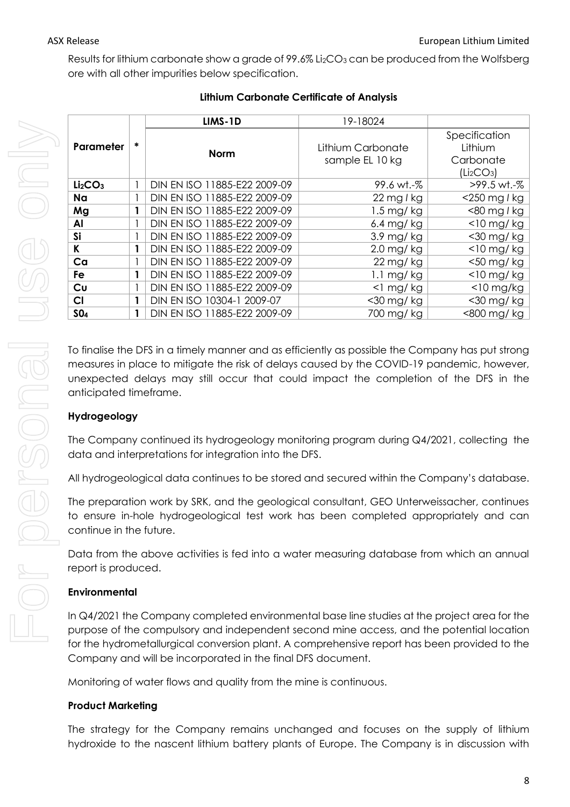Results for lithium carbonate show a grade of 99.6% Li<sub>2</sub>CO<sub>3</sub> can be produced from the Wolfsberg ore with all other impurities below specification.

|                                 |   | LIMS-1D                      | 19-18024                             |                                                                             |
|---------------------------------|---|------------------------------|--------------------------------------|-----------------------------------------------------------------------------|
| Parameter                       | * | <b>Norm</b>                  | Lithium Carbonate<br>sample EL 10 kg | Specification<br>Lithium<br>Carbonate<br>(Li <sub>2</sub> CO <sub>3</sub> ) |
| Li <sub>2</sub> CO <sub>3</sub> |   | DIN EN ISO 11885-E22 2009-09 | 99.6 wt.-%                           | >99.5 wt.-%                                                                 |
| Na                              |   | DIN EN ISO 11885-E22 2009-09 | $22$ mg l kg                         | $<$ 250 mg l kg                                                             |
| Mg                              |   | DIN EN ISO 11885-E22 2009-09 | $1.5 \,\mathrm{mg}/\,\mathrm{kg}$    | $<$ 80 mg l kg                                                              |
| Al                              |   | DIN EN ISO 11885-E22 2009-09 | $6.4$ mg/kg                          | $<$ 10 mg/ $kg$                                                             |
| Si                              |   | DIN EN ISO 11885-E22 2009-09 | $3.9$ mg/kg                          | $<$ 30 mg/ $kg$                                                             |
| K                               |   | DIN EN ISO 11885-E22 2009-09 | $2.0$ mg/kg                          | $<$ 10 mg/ $kg$                                                             |
| Ca                              |   | DIN EN ISO 11885-E22 2009-09 | $22$ mg/ $kg$                        | $<$ 50 mg/ $kg$                                                             |
| Fe                              | 1 | DIN EN ISO 11885-E22 2009-09 | $1.1 \text{ mg/kg}$                  | $<$ 10 mg/ $kg$                                                             |
| Cu                              |   | DIN EN ISO 11885-E22 2009-09 | $<$ l mg/kg                          | $<$ 10 mg/kg                                                                |
| C1                              |   | DIN EN ISO 10304-1 2009-07   | <30 mg/ kg                           | <30 mg/kg                                                                   |
| SO <sub>4</sub>                 | 1 | DIN EN ISO 11885-E22 2009-09 | 700 mg/ kg                           | <800 mg/ kg                                                                 |

# **Lithium Carbonate Certificate of Analysis**

To finalise the DFS in a timely manner and as efficiently as possible the Company has put strong measures in place to mitigate the risk of delays caused by the COVID-19 pandemic, however, unexpected delays may still occur that could impact the completion of the DFS in the anticipated timeframe.

## **Hydrogeology**

The Company continued its hydrogeology monitoring program during Q4/2021, collecting the data and interpretations for integration into the DFS.

All hydrogeological data continues to be stored and secured within the Company's database.

The preparation work by SRK, and the geological consultant, GEO Unterweissacher, continues to ensure in-hole hydrogeological test work has been completed appropriately and can continue in the future.

Data from the above activities is fed into a water measuring database from which an annual report is produced.

# **Environmental**

In Q4/2021 the Company completed environmental base line studies at the project area for the purpose of the compulsory and independent second mine access, and the potential location for the hydrometallurgical conversion plant. A comprehensive report has been provided to the Company and will be incorporated in the final DFS document.

Monitoring of water flows and quality from the mine is continuous.

## **Product Marketing**

The strategy for the Company remains unchanged and focuses on the supply of lithium hydroxide to the nascent lithium battery plants of Europe. The Company is in discussion with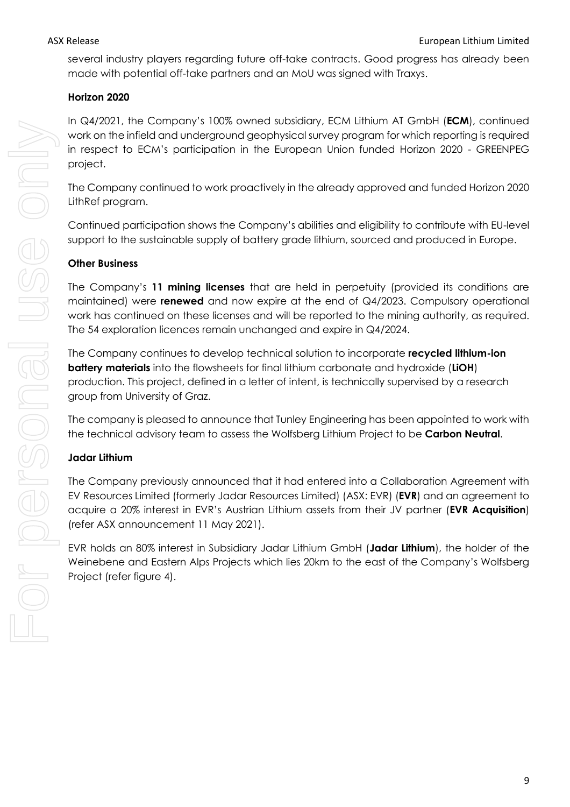several industry players regarding future off-take contracts. Good progress has already been made with potential off-take partners and an MoU was signed with Traxys.

## **Horizon 2020**

In Q4/2021, the Company's 100% owned subsidiary, ECM Lithium AT GmbH (**ECM**), continued work on the infield and underground geophysical survey program for which reporting is required in respect to ECM's participation in the European Union funded Horizon 2020 - GREENPEG project.

The Company continued to work proactively in the already approved and funded Horizon 2020 LithRef program.

Continued participation shows the Company's abilities and eligibility to contribute with EU-level support to the sustainable supply of battery grade lithium, sourced and produced in Europe.

## **Other Business**

The Company's **11 mining licenses** that are held in perpetuity (provided its conditions are maintained) were **renewed** and now expire at the end of Q4/2023. Compulsory operational work has continued on these licenses and will be reported to the mining authority, as required. The 54 exploration licences remain unchanged and expire in Q4/2024.

The Company continues to develop technical solution to incorporate **recycled lithium-ion battery materials** into the flowsheets for final lithium carbonate and hydroxide (**LiOH**) production. This project, defined in a letter of intent, is technically supervised by a research group from University of Graz.

The company is pleased to announce that Tunley Engineering has been appointed to work with the technical advisory team to assess the Wolfsberg Lithium Project to be **Carbon Neutral**.

## **Jadar Lithium**

The Company previously announced that it had entered into a Collaboration Agreement with EV Resources Limited (formerly Jadar Resources Limited) (ASX: EVR) (**EVR**) and an agreement to acquire a 20% interest in EVR's Austrian Lithium assets from their JV partner (**EVR Acquisition**) (refer ASX announcement 11 May 2021).

EVR holds an 80% interest in Subsidiary Jadar Lithium GmbH (**Jadar Lithium**), the holder of the Weinebene and Eastern Alps Projects which lies 20km to the east of the Company's Wolfsberg Project (refer figure 4).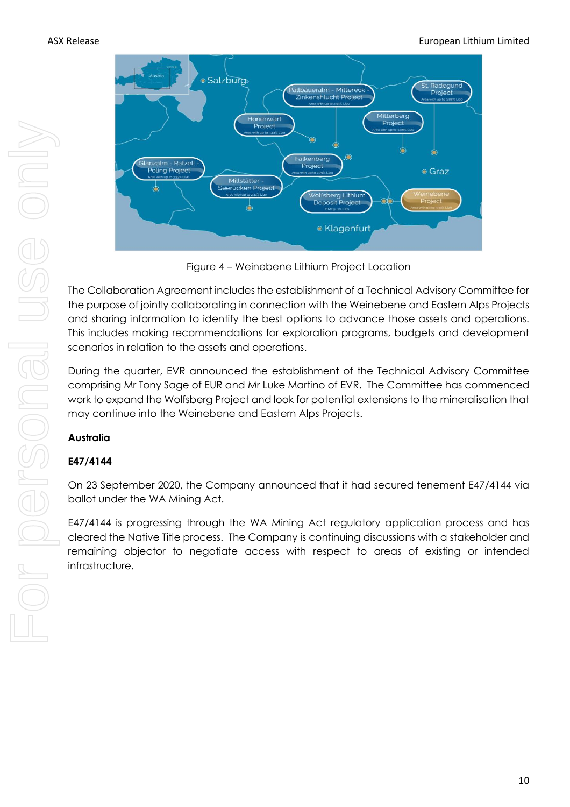

Figure 4 – Weinebene Lithium Project Location

The Collaboration Agreement includes the establishment of a Technical Advisory Committee for the purpose of jointly collaborating in connection with the Weinebene and Eastern Alps Projects and sharing information to identify the best options to advance those assets and operations. This includes making recommendations for exploration programs, budgets and development scenarios in relation to the assets and operations.

During the quarter, EVR announced the establishment of the Technical Advisory Committee comprising Mr Tony Sage of EUR and Mr Luke Martino of EVR. The Committee has commenced work to expand the Wolfsberg Project and look for potential extensions to the mineralisation that may continue into the Weinebene and Eastern Alps Projects.

# **Australia**

# **E47/4144**

On 23 September 2020, the Company announced that it had secured tenement E47/4144 via ballot under the WA Mining Act.

E47/4144 is progressing through the WA Mining Act regulatory application process and has cleared the Native Title process. The Company is continuing discussions with a stakeholder and remaining objector to negotiate access with respect to areas of existing or intended infrastructure.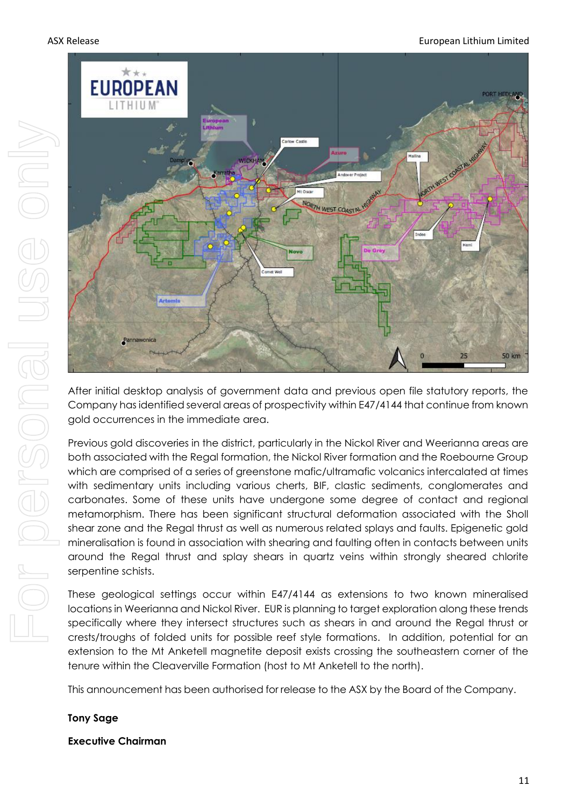#### ASX Release European Lithium Limited and Sales European Lithium Limited by European Lithium Limited



After initial desktop analysis of government data and previous open file statutory reports, the Company has identified several areas of prospectivity within E47/4144 that continue from known gold occurrences in the immediate area.

Previous gold discoveries in the district, particularly in the Nickol River and Weerianna areas are both associated with the Regal formation, the Nickol River formation and the Roebourne Group which are comprised of a series of greenstone mafic/ultramafic volcanics intercalated at times with sedimentary units including various cherts, BIF, clastic sediments, conglomerates and carbonates. Some of these units have undergone some degree of contact and regional metamorphism. There has been significant structural deformation associated with the Sholl shear zone and the Regal thrust as well as numerous related splays and faults. Epigenetic gold mineralisation is found in association with shearing and faulting often in contacts between units around the Regal thrust and splay shears in quartz veins within strongly sheared chlorite serpentine schists.

These geological settings occur within E47/4144 as extensions to two known mineralised locations in Weerianna and Nickol River. EUR is planning to target exploration along these trends specifically where they intersect structures such as shears in and around the Regal thrust or crests/troughs of folded units for possible reef style formations. In addition, potential for an extension to the Mt Anketell magnetite deposit exists crossing the southeastern corner of the tenure within the Cleaverville Formation (host to Mt Anketell to the north).

This announcement has been authorised for release to the ASX by the Board of the Company.

#### **Tony Sage**

#### **Executive Chairman**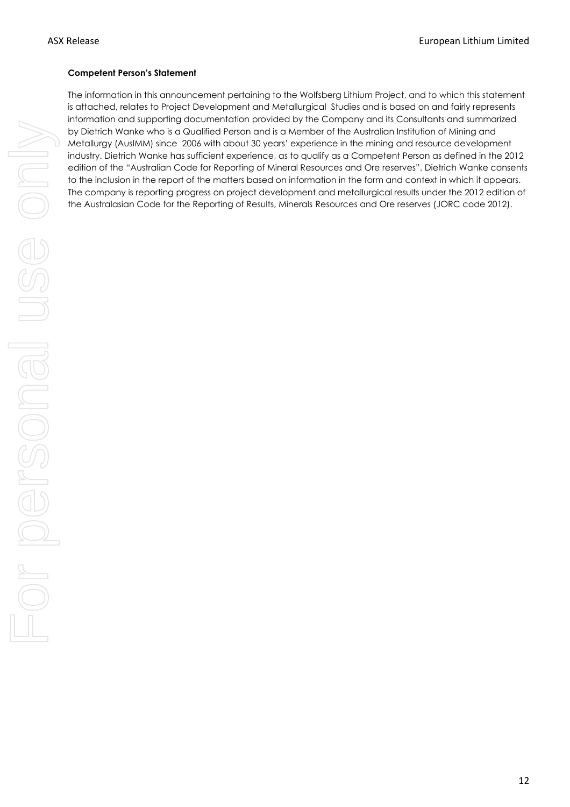#### **Competent Person's Statement**

The information in this announcement pertaining to the Wolfsberg Lithium Project, and to which this statement is attached, relates to Project Development and Metallurgical Studies and is based on and fairly represents information and supporting documentation provided by the Company and its Consultants and summarized by Dietrich Wanke who is a Qualified Person and is a Member of the Australian Institution of Mining and Metallurgy (AusIMM) since 2006 with about 30 years' experience in the mining and resource development industry. Dietrich Wanke has sufficient experience, as to qualify as a Competent Person as defined in the 2012 edition of the "Australian Code for Reporting of Mineral Resources and Ore reserves". Dietrich Wanke consents to the inclusion in the report of the matters based on information in the form and context in which it appears. The company is reporting progress on project development and metallurgical results under the 2012 edition of the Australasian Code for the Reporting of Results, Minerals Resources and Ore reserves (JORC code 2012).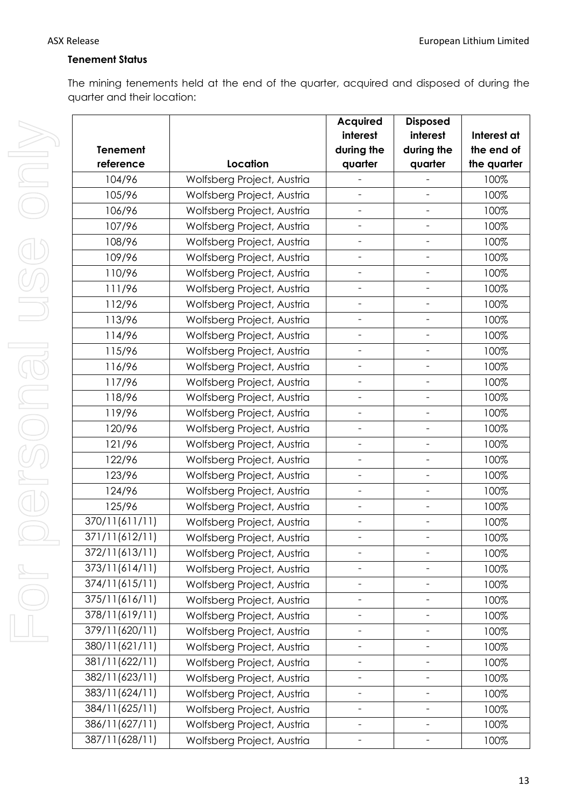For personal use only For personal use onl

## **Tenement Status**

The mining tenements held at the end of the quarter, acquired and disposed of during the quarter and their location:

|                 |                            | <b>Acquired</b>          | <b>Disposed</b>          |             |
|-----------------|----------------------------|--------------------------|--------------------------|-------------|
|                 |                            | interest                 | interest                 | Interest at |
| <b>Tenement</b> |                            | during the               | during the               | the end of  |
| reference       | Location                   | quarter                  | quarter                  | the quarter |
| 104/96          | Wolfsberg Project, Austria |                          |                          | 100%        |
| 105/96          | Wolfsberg Project, Austria |                          |                          | 100%        |
| 106/96          | Wolfsberg Project, Austria | $\overline{\phantom{a}}$ | $\overline{\phantom{0}}$ | 100%        |
| 107/96          | Wolfsberg Project, Austria | $\overline{\phantom{0}}$ | $\overline{\phantom{0}}$ | 100%        |
| 108/96          | Wolfsberg Project, Austria | $\overline{\phantom{a}}$ | $\overline{\phantom{a}}$ | 100%        |
| 109/96          | Wolfsberg Project, Austria | $\frac{1}{2}$            | $\qquad \qquad -$        | 100%        |
| 110/96          | Wolfsberg Project, Austria | $\overline{\phantom{0}}$ | $\qquad \qquad -$        | 100%        |
| 111/96          | Wolfsberg Project, Austria | $\frac{1}{2}$            |                          | 100%        |
| 112/96          | Wolfsberg Project, Austria | $\overline{\phantom{a}}$ | $\overline{\phantom{a}}$ | 100%        |
| 113/96          | Wolfsberg Project, Austria | $\overline{\phantom{a}}$ | $\overline{\phantom{a}}$ | 100%        |
| 114/96          | Wolfsberg Project, Austria | $\frac{1}{2}$            | $\overline{\phantom{a}}$ | 100%        |
| 115/96          | Wolfsberg Project, Austria | $\overline{\phantom{0}}$ | $\overline{\phantom{a}}$ | 100%        |
| 116/96          | Wolfsberg Project, Austria | $\overline{\phantom{a}}$ | $\qquad \qquad -$        | 100%        |
| 117/96          | Wolfsberg Project, Austria | $\overline{\phantom{a}}$ | $\qquad \qquad -$        | 100%        |
| 118/96          | Wolfsberg Project, Austria |                          |                          | 100%        |
| 119/96          | Wolfsberg Project, Austria | $\overline{\phantom{a}}$ | $\overline{\phantom{a}}$ | 100%        |
| 120/96          | Wolfsberg Project, Austria | $\blacksquare$           | $\overline{\phantom{a}}$ | 100%        |
| 121/96          | Wolfsberg Project, Austria | $\overline{\phantom{a}}$ | $\overline{\phantom{a}}$ | 100%        |
| 122/96          | Wolfsberg Project, Austria | $\overline{\phantom{a}}$ | $\overline{\phantom{a}}$ | 100%        |
| 123/96          | Wolfsberg Project, Austria | $\overline{\phantom{0}}$ | $\overline{\phantom{a}}$ | 100%        |
| 124/96          | Wolfsberg Project, Austria | $\overline{\phantom{0}}$ | $\overline{\phantom{a}}$ | 100%        |
| 125/96          | Wolfsberg Project, Austria | $\overline{\phantom{a}}$ | $\overline{\phantom{a}}$ | 100%        |
| 370/11(611/11)  | Wolfsberg Project, Austria | $\overline{\phantom{a}}$ | $\qquad \qquad -$        | 100%        |
| 371/11(612/11)  | Wolfsberg Project, Austria | $\overline{\phantom{a}}$ | $\qquad \qquad -$        | 100%        |
| 372/11(613/11)  | Wolfsberg Project, Austria |                          |                          | 100%        |
| 373/11(614/11)  | Wolfsberg Project, Austria |                          |                          | 100%        |
| 374/11(615/11)  | Wolfsberg Project, Austria | $\qquad \qquad -$        | $\qquad \qquad -$        | 100%        |
| 375/11(616/11)  | Wolfsberg Project, Austria |                          |                          | 100%        |
| 378/11(619/11)  | Wolfsberg Project, Austria | $\overline{\phantom{0}}$ | $\overline{\phantom{0}}$ | 100%        |
| 379/11(620/11)  | Wolfsberg Project, Austria | $\overline{\phantom{a}}$ | $\overline{\phantom{a}}$ | 100%        |
| 380/11(621/11)  | Wolfsberg Project, Austria |                          | $\qquad \qquad -$        | 100%        |
| 381/11(622/11)  | Wolfsberg Project, Austria |                          |                          | 100%        |
| 382/11(623/11)  | Wolfsberg Project, Austria | $\overline{\phantom{0}}$ | $\qquad \qquad -$        | 100%        |
| 383/11(624/11)  | Wolfsberg Project, Austria | $\overline{\phantom{0}}$ | $\overline{\phantom{a}}$ | 100%        |
| 384/11(625/11)  | Wolfsberg Project, Austria | $\overline{\phantom{0}}$ |                          | 100%        |
| 386/11(627/11)  | Wolfsberg Project, Austria | $\qquad \qquad -$        | $\qquad \qquad -$        | 100%        |
| 387/11(628/11)  | Wolfsberg Project, Austria |                          |                          | 100%        |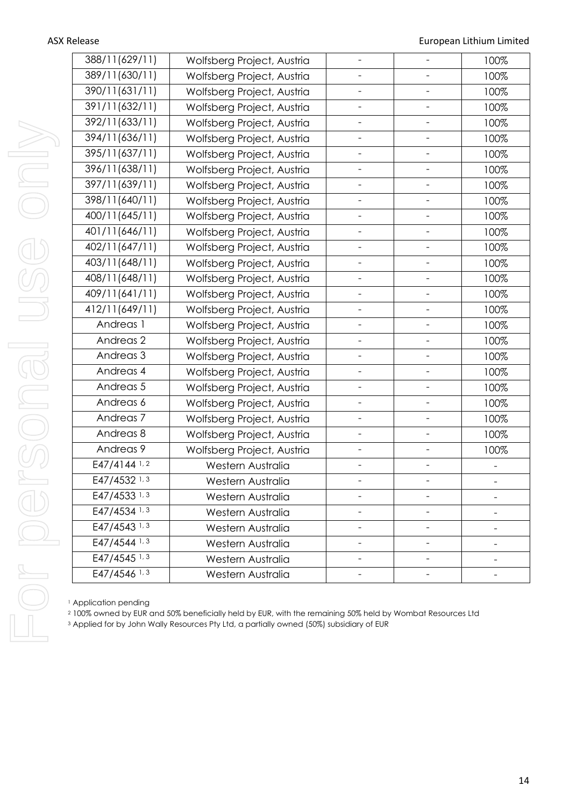| 388/11(629/11)       | Wolfsberg Project, Austria |                          | 100% |
|----------------------|----------------------------|--------------------------|------|
| 389/11(630/11)       | Wolfsberg Project, Austria |                          | 100% |
| 390/11(631/11)       | Wolfsberg Project, Austria |                          | 100% |
| 391/11(632/11)       | Wolfsberg Project, Austria |                          | 100% |
| 392/11(633/11)       | Wolfsberg Project, Austria |                          | 100% |
| 394/11(636/11)       | Wolfsberg Project, Austria |                          | 100% |
| 395/11(637/11)       | Wolfsberg Project, Austria |                          | 100% |
| 396/11(638/11)       | Wolfsberg Project, Austria |                          | 100% |
| 397/11(639/11)       | Wolfsberg Project, Austria |                          | 100% |
| 398/11(640/11)       | Wolfsberg Project, Austria |                          | 100% |
| 400/11(645/11)       | Wolfsberg Project, Austria | $\overline{\phantom{0}}$ | 100% |
| 401/11(646/11)       | Wolfsberg Project, Austria |                          | 100% |
| 402/11(647/11)       | Wolfsberg Project, Austria |                          | 100% |
| 403/11(648/11)       | Wolfsberg Project, Austria |                          | 100% |
| 408/11(648/11)       | Wolfsberg Project, Austria |                          | 100% |
| 409/11(641/11)       | Wolfsberg Project, Austria |                          | 100% |
| 412/11(649/11)       | Wolfsberg Project, Austria | $\overline{\phantom{a}}$ | 100% |
| Andreas 1            | Wolfsberg Project, Austria |                          | 100% |
| Andreas <sub>2</sub> | Wolfsberg Project, Austria |                          | 100% |
| Andreas <sub>3</sub> | Wolfsberg Project, Austria |                          | 100% |
| Andreas 4            | Wolfsberg Project, Austria |                          | 100% |
| Andreas 5            | Wolfsberg Project, Austria |                          | 100% |
| Andreas 6            | Wolfsberg Project, Austria |                          | 100% |
| Andreas <sub>7</sub> | Wolfsberg Project, Austria | $\overline{\phantom{0}}$ | 100% |
| Andreas 8            | Wolfsberg Project, Austria |                          | 100% |
| Andreas 9            | Wolfsberg Project, Austria |                          | 100% |
| E47/4144 1,2         | Western Australia          |                          |      |
| E47/4532 1, 3        | Western Australia          |                          |      |
| E47/4533 1, 3        | Western Australia          |                          |      |
| E47/4534 1, 3        | Western Australia          |                          |      |
| E47/4543 1, 3        | Western Australia          |                          |      |
| E47/4544 1, 3        | Western Australia          |                          |      |
| E47/4545 1, 3        | Western Australia          |                          |      |
| E47/4546 1, 3        | Western Australia          |                          |      |

<sup>1</sup> Application pending

<sup>2</sup> 100% owned by EUR and 50% beneficially held by EUR, with the remaining 50% held by Wombat Resources Ltd

<sup>3</sup> Applied for by John Wally Resources Pty Ltd, a partially owned (50%) subsidiary of EUR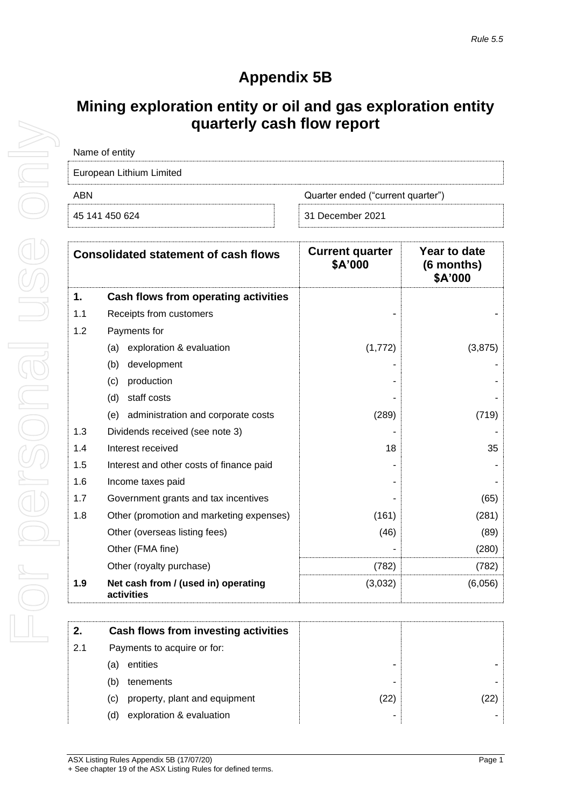# **Appendix 5B**

# **Mining exploration entity or oil and gas exploration entity quarterly cash flow report**

| Name of entity           |                                   |  |  |  |
|--------------------------|-----------------------------------|--|--|--|
| European Lithium Limited |                                   |  |  |  |
| ABN                      | Quarter ended ("current quarter") |  |  |  |
| 45 141 450 624           | 31 December 2021                  |  |  |  |

|     | <b>Consolidated statement of cash flows</b>       | <b>Current quarter</b><br>\$A'000 | Year to date<br>(6 months)<br>\$A'000 |
|-----|---------------------------------------------------|-----------------------------------|---------------------------------------|
| 1.  | Cash flows from operating activities              |                                   |                                       |
| 1.1 | Receipts from customers                           |                                   |                                       |
| 1.2 | Payments for                                      |                                   |                                       |
|     | exploration & evaluation<br>(a)                   | (1,772)                           | (3,875)                               |
|     | development<br>(b)                                |                                   |                                       |
|     | production<br>(c)                                 |                                   |                                       |
|     | (d)<br>staff costs                                |                                   |                                       |
|     | administration and corporate costs<br>(e)         | (289)                             | (719)                                 |
| 1.3 | Dividends received (see note 3)                   |                                   |                                       |
| 1.4 | Interest received                                 | 18                                | 35                                    |
| 1.5 | Interest and other costs of finance paid          |                                   |                                       |
| 1.6 | Income taxes paid                                 |                                   |                                       |
| 1.7 | Government grants and tax incentives              |                                   | (65)                                  |
| 1.8 | Other (promotion and marketing expenses)          | (161)                             | (281)                                 |
|     | Other (overseas listing fees)                     | (46)                              | (89)                                  |
|     | Other (FMA fine)                                  |                                   | (280)                                 |
|     | Other (royalty purchase)                          | (782)                             | (782)                                 |
| 1.9 | Net cash from / (used in) operating<br>activities | (3,032)                           | (6,056)                               |

| 2.  | Cash flows from investing activities |              |  |
|-----|--------------------------------------|--------------|--|
| 2.1 | Payments to acquire or for:          |              |  |
|     | entities<br>la                       |              |  |
|     | tenements<br>(b)                     | -            |  |
|     | property, plant and equipment<br>(C) | $22^{\circ}$ |  |
|     | exploration & evaluation<br>(d)      |              |  |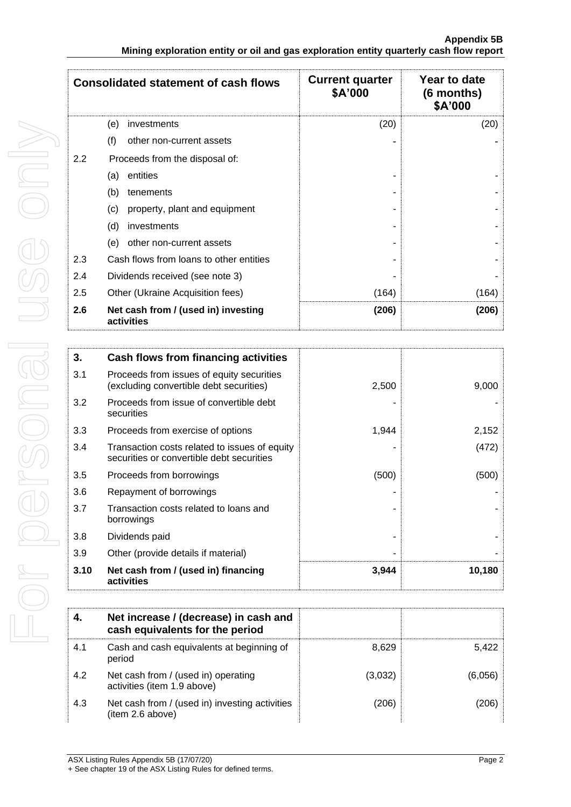|     | <b>Consolidated statement of cash flows</b>       | <b>Current quarter</b><br>\$A'000 | Year to date<br>(6 months)<br>\$A'000 |
|-----|---------------------------------------------------|-----------------------------------|---------------------------------------|
|     | investments<br>(e)                                | (20)                              | (20)                                  |
|     | (f)<br>other non-current assets                   |                                   |                                       |
| 2.2 | Proceeds from the disposal of:                    |                                   |                                       |
|     | entities<br>(a)                                   |                                   |                                       |
|     | (b)<br>tenements                                  |                                   |                                       |
|     | (c)<br>property, plant and equipment              |                                   |                                       |
|     | (d)<br>investments                                |                                   |                                       |
|     | (e)<br>other non-current assets                   |                                   |                                       |
| 2.3 | Cash flows from loans to other entities           |                                   |                                       |
| 2.4 | Dividends received (see note 3)                   |                                   |                                       |
| 2.5 | Other (Ukraine Acquisition fees)                  | (164)                             | (164)                                 |
| 2.6 | Net cash from / (used in) investing<br>activities | (206)                             | (206)                                 |

| 3.   | Cash flows from financing activities                                                       |       |        |
|------|--------------------------------------------------------------------------------------------|-------|--------|
| 3.1  | Proceeds from issues of equity securities<br>(excluding convertible debt securities)       | 2,500 | 9,000  |
| 3.2  | Proceeds from issue of convertible debt<br>securities                                      |       |        |
| 3.3  | Proceeds from exercise of options                                                          | 1,944 | 2,152  |
| 3.4  | Transaction costs related to issues of equity<br>securities or convertible debt securities |       | (472)  |
| 3.5  | Proceeds from borrowings                                                                   | (500) | (500)  |
| 3.6  | Repayment of borrowings                                                                    |       |        |
| 3.7  | Transaction costs related to loans and<br>borrowings                                       |       |        |
| 3.8  | Dividends paid                                                                             |       |        |
| 3.9  | Other (provide details if material)                                                        |       |        |
| 3.10 | Net cash from / (used in) financing<br>activities                                          | 3,944 | 10,180 |

| 4.  | Net increase / (decrease) in cash and<br>cash equivalents for the period |         |         |
|-----|--------------------------------------------------------------------------|---------|---------|
| 4.1 | Cash and cash equivalents at beginning of<br>period                      | 8.629   | 5.422   |
| 4.2 | Net cash from / (used in) operating<br>activities (item 1.9 above)       | (3,032) | (6.056) |
| 4.3 | Net cash from / (used in) investing activities<br>(item 2.6 above)       | (206)   | 206)    |

For personal use only For personal use onni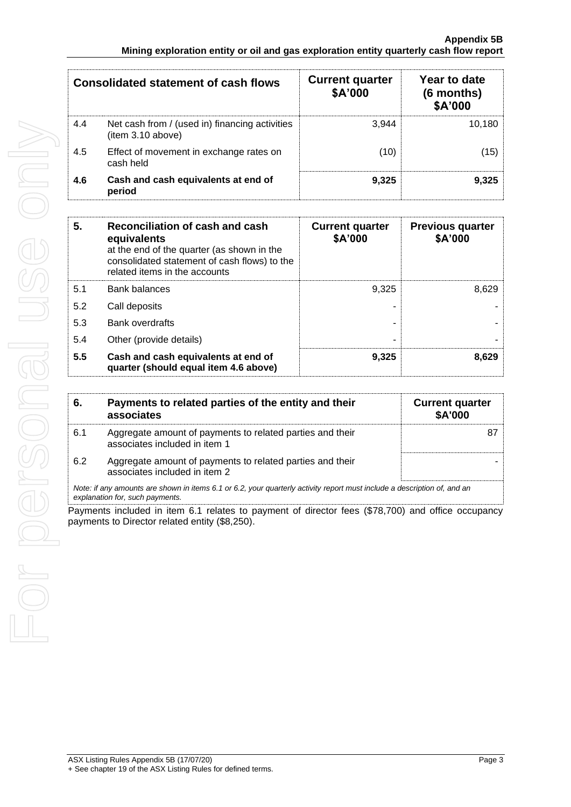|     | Consolidated statement of cash flows                                | <b>Current quarter</b><br>\$A'000 | Year to date<br>(6 months)<br>\$A'000 |
|-----|---------------------------------------------------------------------|-----------------------------------|---------------------------------------|
| 4.4 | Net cash from / (used in) financing activities<br>(item 3.10 above) | 3.944                             | 10,180                                |
| 4.5 | Effect of movement in exchange rates on<br>cash held                | (10)                              | (15)                                  |
| 4.6 | Cash and cash equivalents at end of<br>period                       | 9.325                             | 9.325                                 |

| 5.  | Reconciliation of cash and cash<br>equivalents<br>at the end of the quarter (as shown in the<br>consolidated statement of cash flows) to the<br>related items in the accounts | <b>Current quarter</b><br>\$A'000 | <b>Previous quarter</b><br>\$A'000 |
|-----|-------------------------------------------------------------------------------------------------------------------------------------------------------------------------------|-----------------------------------|------------------------------------|
| 5.1 | <b>Bank balances</b>                                                                                                                                                          | 9.325                             | 8.629                              |
| 5.2 | Call deposits                                                                                                                                                                 |                                   |                                    |
| 5.3 | <b>Bank overdrafts</b>                                                                                                                                                        |                                   |                                    |
| 5.4 | Other (provide details)                                                                                                                                                       |                                   |                                    |
| 5.5 | Cash and cash equivalents at end of<br>quarter (should equal item 4.6 above)                                                                                                  | 9,325                             | 8,629                              |

| 6.  | Payments to related parties of the entity and their<br>associates                                                                                           | <b>Current quarter</b><br><b>\$A'000</b> |
|-----|-------------------------------------------------------------------------------------------------------------------------------------------------------------|------------------------------------------|
| 6.1 | Aggregate amount of payments to related parties and their<br>associates included in item 1                                                                  |                                          |
| 6.2 | Aggregate amount of payments to related parties and their<br>associates included in item 2                                                                  |                                          |
|     | Note: if any amounts are shown in items 6.1 or 6.2, your quarterly activity report must include a description of, and an<br>explanation for, such payments. |                                          |

Payments included in item 6.1 relates to payment of director fees (\$78,700) and office occupancy payments to Director related entity (\$8,250).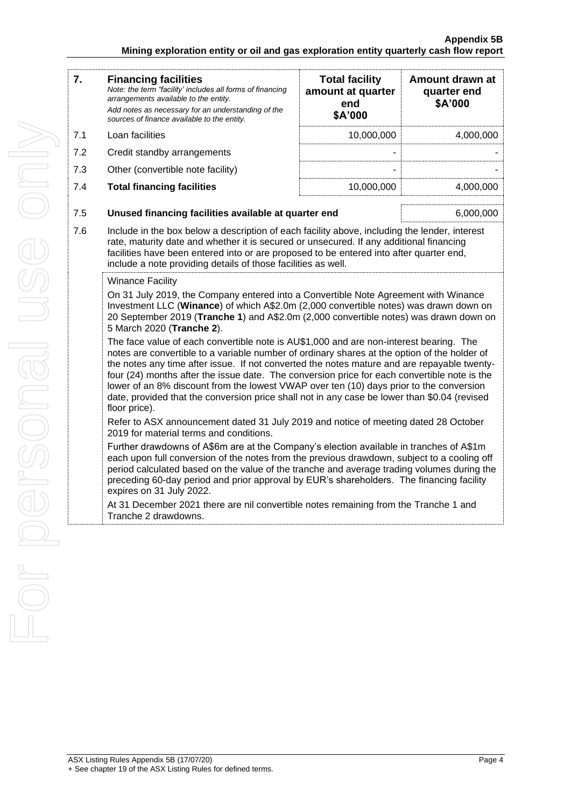| 7.  | <b>Financing facilities</b><br>Note: the term "facility' includes all forms of financing<br>arrangements available to the entity.<br>Add notes as necessary for an understanding of the<br>sources of finance available to the entity.                                                                                                                                                                                                                                                                                                                                                            | <b>Total facility</b><br>amount at quarter<br>end<br>\$A'000 | Amount drawn at<br>quarter end<br>\$A'000 |  |  |
|-----|---------------------------------------------------------------------------------------------------------------------------------------------------------------------------------------------------------------------------------------------------------------------------------------------------------------------------------------------------------------------------------------------------------------------------------------------------------------------------------------------------------------------------------------------------------------------------------------------------|--------------------------------------------------------------|-------------------------------------------|--|--|
| 7.1 | Loan facilities                                                                                                                                                                                                                                                                                                                                                                                                                                                                                                                                                                                   | 10,000,000                                                   | 4,000,000                                 |  |  |
| 7.2 | Credit standby arrangements                                                                                                                                                                                                                                                                                                                                                                                                                                                                                                                                                                       |                                                              |                                           |  |  |
| 7.3 | Other (convertible note facility)                                                                                                                                                                                                                                                                                                                                                                                                                                                                                                                                                                 |                                                              |                                           |  |  |
| 7.4 | <b>Total financing facilities</b>                                                                                                                                                                                                                                                                                                                                                                                                                                                                                                                                                                 | 10,000,000                                                   | 4,000,000                                 |  |  |
| 7.5 | Unused financing facilities available at quarter end<br>6,000,000                                                                                                                                                                                                                                                                                                                                                                                                                                                                                                                                 |                                                              |                                           |  |  |
| 7.6 | Include in the box below a description of each facility above, including the lender, interest<br>rate, maturity date and whether it is secured or unsecured. If any additional financing<br>facilities have been entered into or are proposed to be entered into after quarter end,<br>include a note providing details of those facilities as well.                                                                                                                                                                                                                                              |                                                              |                                           |  |  |
|     | <b>Winance Facility</b>                                                                                                                                                                                                                                                                                                                                                                                                                                                                                                                                                                           |                                                              |                                           |  |  |
|     | On 31 July 2019, the Company entered into a Convertible Note Agreement with Winance<br>Investment LLC (Winance) of which A\$2.0m (2,000 convertible notes) was drawn down on<br>20 September 2019 (Tranche 1) and A\$2.0m (2,000 convertible notes) was drawn down on<br>5 March 2020 (Tranche 2).                                                                                                                                                                                                                                                                                                |                                                              |                                           |  |  |
|     | The face value of each convertible note is AU\$1,000 and are non-interest bearing. The<br>notes are convertible to a variable number of ordinary shares at the option of the holder of<br>the notes any time after issue. If not converted the notes mature and are repayable twenty-<br>four (24) months after the issue date. The conversion price for each convertible note is the<br>lower of an 8% discount from the lowest VWAP over ten (10) days prior to the conversion<br>date, provided that the conversion price shall not in any case be lower than \$0.04 (revised<br>floor price). |                                                              |                                           |  |  |
|     | Refer to ASX announcement dated 31 July 2019 and notice of meeting dated 28 October<br>2019 for material terms and conditions.                                                                                                                                                                                                                                                                                                                                                                                                                                                                    |                                                              |                                           |  |  |
|     | Further drawdowns of A\$6m are at the Company's election available in tranches of A\$1m<br>each upon full conversion of the notes from the previous drawdown, subject to a cooling off<br>period calculated based on the value of the tranche and average trading volumes during the<br>preceding 60-day period and prior approval by EUR's shareholders. The financing facility<br>expires on 31 July 2022.                                                                                                                                                                                      |                                                              |                                           |  |  |

At 31 December 2021 there are nil convertible notes remaining from the Tranche 1 and Tranche 2 drawdowns.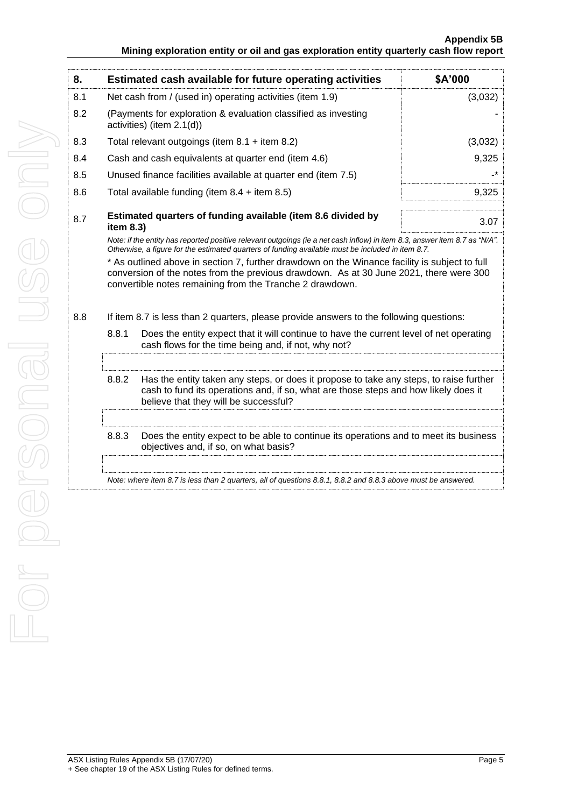| 8.  |                                                                                                                                                                                                                                                                                                                                                                                                                                                     | Estimated cash available for future operating activities                                                      | \$A'000 |  |
|-----|-----------------------------------------------------------------------------------------------------------------------------------------------------------------------------------------------------------------------------------------------------------------------------------------------------------------------------------------------------------------------------------------------------------------------------------------------------|---------------------------------------------------------------------------------------------------------------|---------|--|
| 8.1 | Net cash from / (used in) operating activities (item 1.9)                                                                                                                                                                                                                                                                                                                                                                                           |                                                                                                               | (3,032) |  |
| 8.2 | (Payments for exploration & evaluation classified as investing<br>activities) (item 2.1(d))                                                                                                                                                                                                                                                                                                                                                         |                                                                                                               |         |  |
| 8.3 | Total relevant outgoings (item $8.1 +$ item $8.2$ )                                                                                                                                                                                                                                                                                                                                                                                                 |                                                                                                               | (3,032) |  |
| 8.4 | Cash and cash equivalents at quarter end (item 4.6)                                                                                                                                                                                                                                                                                                                                                                                                 |                                                                                                               | 9,325   |  |
| 8.5 | Unused finance facilities available at quarter end (item 7.5)                                                                                                                                                                                                                                                                                                                                                                                       |                                                                                                               |         |  |
| 8.6 | Total available funding (item $8.4 +$ item $8.5$ )                                                                                                                                                                                                                                                                                                                                                                                                  |                                                                                                               | 9,325   |  |
| 8.7 | item 8.3)                                                                                                                                                                                                                                                                                                                                                                                                                                           | Estimated quarters of funding available (item 8.6 divided by                                                  | 3.07    |  |
| 8.8 | Otherwise, a figure for the estimated quarters of funding available must be included in item 8.7.<br>* As outlined above in section 7, further drawdown on the Winance facility is subject to full<br>conversion of the notes from the previous drawdown. As at 30 June 2021, there were 300<br>convertible notes remaining from the Tranche 2 drawdown.<br>If item 8.7 is less than 2 quarters, please provide answers to the following questions: |                                                                                                               |         |  |
|     | 8.8.1<br>Does the entity expect that it will continue to have the current level of net operating<br>cash flows for the time being and, if not, why not?                                                                                                                                                                                                                                                                                             |                                                                                                               |         |  |
|     | 8.8.2<br>Has the entity taken any steps, or does it propose to take any steps, to raise further<br>cash to fund its operations and, if so, what are those steps and how likely does it<br>believe that they will be successful?                                                                                                                                                                                                                     |                                                                                                               |         |  |
|     | 8.8.3<br>Does the entity expect to be able to continue its operations and to meet its business<br>objectives and, if so, on what basis?                                                                                                                                                                                                                                                                                                             |                                                                                                               |         |  |
|     |                                                                                                                                                                                                                                                                                                                                                                                                                                                     |                                                                                                               |         |  |
|     |                                                                                                                                                                                                                                                                                                                                                                                                                                                     | Note: where item 8.7 is less than 2 quarters, all of questions 8.8.1, 8.8.2 and 8.8.3 above must be answered. |         |  |